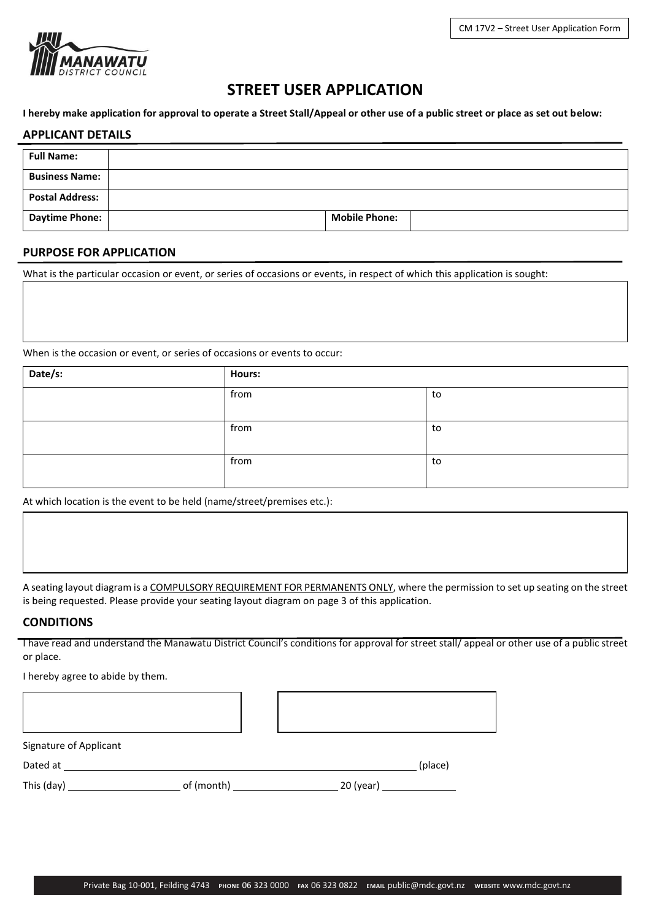

# **STREET USER APPLICATION**

**I hereby make application for approval to operate a Street Stall/Appeal or other use of a public street or place as set out below:**

#### **APPLICANT DETAILS**

| <b>Full Name:</b>      |  |                      |  |
|------------------------|--|----------------------|--|
|                        |  |                      |  |
| <b>Business Name:</b>  |  |                      |  |
|                        |  |                      |  |
| <b>Postal Address:</b> |  |                      |  |
| <b>Daytime Phone:</b>  |  | <b>Mobile Phone:</b> |  |
|                        |  |                      |  |

# **PURPOSE FOR APPLICATION**

What is the particular occasion or event, or series of occasions or events, in respect of which this application is sought:

When is the occasion or event, or series of occasions or events to occur:

| Date/s: | <b>Hours:</b> |    |
|---------|---------------|----|
|         | from          | to |
|         |               |    |
|         | from          | to |
|         |               |    |
|         | from          | to |
|         |               |    |

At which location is the event to be held (name/street/premises etc.):

A seating layout diagram is a COMPULSORY REQUIREMENT FOR PERMANENTS ONLY, where the permission to set up seating on the street is being requested. Please provide your seating layout diagram on page 3 of this application.

## **CONDITIONS**

I have read and understand the Manawatu District Council's conditions for approval for street stall/ appeal or other use of a public street or place.

I hereby agree to abide by them.

Signature of Applicant

Dated at (place)

| This (day) | of (month) | 20 (year) |
|------------|------------|-----------|
|------------|------------|-----------|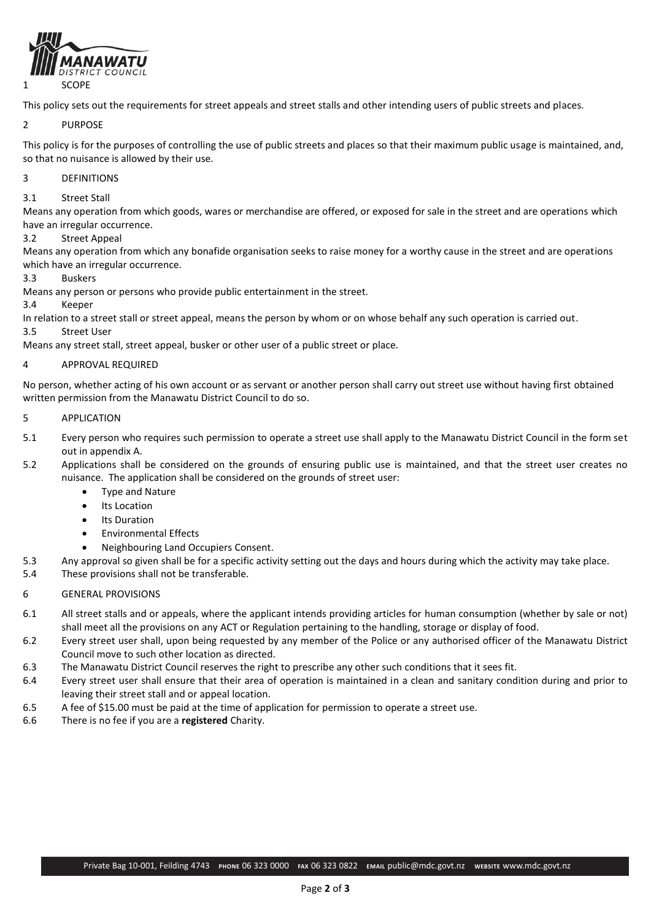

This policy sets out the requirements for street appeals and street stalls and other intending users of public streets and places.

#### 2 PURPOSE

This policy is for the purposes of controlling the use of public streets and places so that their maximum public usage is maintained, and, so that no nuisance is allowed by their use.

#### 3 DEFINITIONS

#### 3.1 Street Stall

Means any operation from which goods, wares or merchandise are offered, or exposed for sale in the street and are operations which have an irregular occurrence.

#### 3.2 Street Appeal

Means any operation from which any bonafide organisation seeks to raise money for a worthy cause in the street and are operations which have an irregular occurrence.

#### 3.3 Buskers

Means any person or persons who provide public entertainment in the street.

3.4 Keeper

In relation to a street stall or street appeal, means the person by whom or on whose behalf any such operation is carried out.

## 3.5 Street User

Means any street stall, street appeal, busker or other user of a public street or place.

#### 4 APPROVAL REQUIRED

No person, whether acting of his own account or as servant or another person shall carry out street use without having first obtained written permission from the Manawatu District Council to do so.

#### 5 APPLICATION

- 5.1 Every person who requires such permission to operate a street use shall apply to the Manawatu District Council in the form set out in appendix A.
- 5.2 Applications shall be considered on the grounds of ensuring public use is maintained, and that the street user creates no nuisance. The application shall be considered on the grounds of street user:
	- Type and Nature
	- Its Location
	- Its Duration
	- Environmental Effects
	- Neighbouring Land Occupiers Consent.
- 5.3 Any approval so given shall be for a specific activity setting out the days and hours during which the activity may take place. 5.4 These provisions shall not be transferable.
- 6 GENERAL PROVISIONS
- 6.1 All street stalls and or appeals, where the applicant intends providing articles for human consumption (whether by sale or not) shall meet all the provisions on any ACT or Regulation pertaining to the handling, storage or display of food.
- 6.2 Every street user shall, upon being requested by any member of the Police or any authorised officer of the Manawatu District Council move to such other location as directed.
- 6.3 The Manawatu District Council reserves the right to prescribe any other such conditions that it sees fit.
- 6.4 Every street user shall ensure that their area of operation is maintained in a clean and sanitary condition during and prior to leaving their street stall and or appeal location.
- 6.5 A fee of \$15.00 must be paid at the time of application for permission to operate a street use.
- 6.6 There is no fee if you are a **registered** Charity.